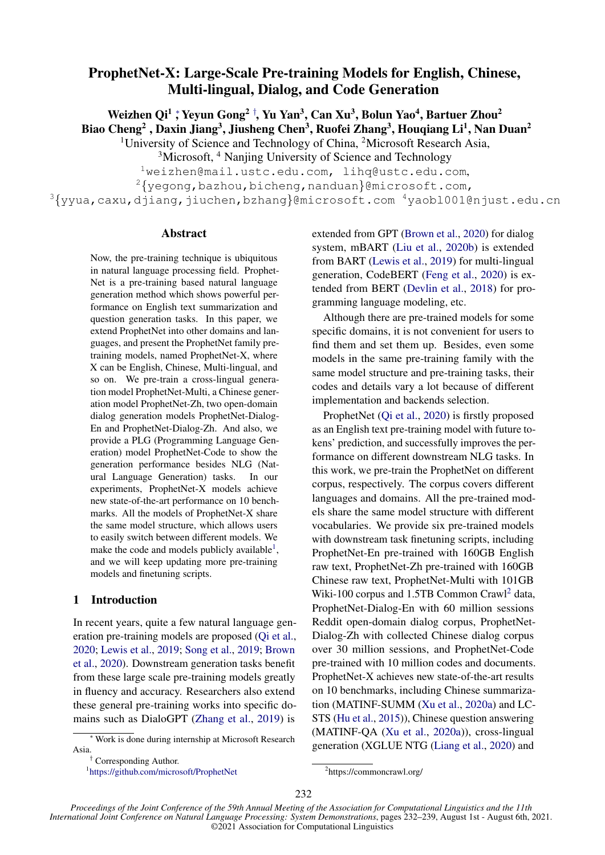# ProphetNet-X: Large-Scale Pre-training Models for English, Chinese, Multi-lingual, Dialog, and Code Generation

Weizhen Qi<sup>1</sup> ; Yeyun Gong<sup>2†</sup>, Yu Yan<sup>3</sup>, Can Xu<sup>3</sup>, Bolun Yao<sup>4</sup>, Bartuer Zhou<sup>2</sup> Biao Cheng<sup>2</sup> , Daxin Jiang<sup>3</sup>, Jiusheng Chen<sup>3</sup>, Ruofei Zhang<sup>3</sup>, Houqiang Li<sup>1</sup>, Nan Duan<sup>2</sup>

<sup>1</sup>University of Science and Technology of China, <sup>2</sup>Microsoft Research Asia,

<sup>3</sup>Microsoft, <sup>4</sup> Nanjing University of Science and Technology

<sup>1</sup>weizhen@mail.ustc.edu.com, lihq@ustc.edu.com,

 $2\{\text{yegong},\text{bazhou},\text{bicheng},\text{nanduan}\}$ @microsoft.com,

 $3\{$ yyua,caxu,djiang,jiuchen,bzhang}@microsoft.com  $4$ yaobl001@njust.edu.cn

## Abstract

Now, the pre-training technique is ubiquitous in natural language processing field. Prophet-Net is a pre-training based natural language generation method which shows powerful performance on English text summarization and question generation tasks. In this paper, we extend ProphetNet into other domains and languages, and present the ProphetNet family pretraining models, named ProphetNet-X, where X can be English, Chinese, Multi-lingual, and so on. We pre-train a cross-lingual generation model ProphetNet-Multi, a Chinese generation model ProphetNet-Zh, two open-domain dialog generation models ProphetNet-Dialog-En and ProphetNet-Dialog-Zh. And also, we provide a PLG (Programming Language Generation) model ProphetNet-Code to show the generation performance besides NLG (Natural Language Generation) tasks. In our experiments, ProphetNet-X models achieve new state-of-the-art performance on 10 benchmarks. All the models of ProphetNet-X share the same model structure, which allows users to easily switch between different models. We make the code and models publicly available<sup>[1](#page-0-0)</sup>, and we will keep updating more pre-training models and finetuning scripts.

## 1 Introduction

In recent years, quite a few natural language generation pre-training models are proposed [\(Qi et al.,](#page-7-0) [2020;](#page-7-0) [Lewis et al.,](#page-6-0) [2019;](#page-6-0) [Song et al.,](#page-7-1) [2019;](#page-7-1) [Brown](#page-6-1) [et al.,](#page-6-1) [2020\)](#page-6-1). Downstream generation tasks benefit from these large scale pre-training models greatly in fluency and accuracy. Researchers also extend these general pre-training works into specific domains such as DialoGPT [\(Zhang et al.,](#page-7-2) [2019\)](#page-7-2) is

<span id="page-0-0"></span>1 <https://github.com/microsoft/ProphetNet>

extended from GPT [\(Brown et al.,](#page-6-1) [2020\)](#page-6-1) for dialog system, mBART [\(Liu et al.,](#page-7-3) [2020b\)](#page-7-3) is extended from BART [\(Lewis et al.,](#page-6-0) [2019\)](#page-6-0) for multi-lingual generation, CodeBERT [\(Feng et al.,](#page-6-2) [2020\)](#page-6-2) is extended from BERT [\(Devlin et al.,](#page-6-3) [2018\)](#page-6-3) for programming language modeling, etc.

Although there are pre-trained models for some specific domains, it is not convenient for users to find them and set them up. Besides, even some models in the same pre-training family with the same model structure and pre-training tasks, their codes and details vary a lot because of different implementation and backends selection.

ProphetNet [\(Qi et al.,](#page-7-0) [2020\)](#page-7-0) is firstly proposed as an English text pre-training model with future tokens' prediction, and successfully improves the performance on different downstream NLG tasks. In this work, we pre-train the ProphetNet on different corpus, respectively. The corpus covers different languages and domains. All the pre-trained models share the same model structure with different vocabularies. We provide six pre-trained models with downstream task finetuning scripts, including ProphetNet-En pre-trained with 160GB English raw text, ProphetNet-Zh pre-trained with 160GB Chinese raw text, ProphetNet-Multi with 101GB Wiki-100 corpus and 1.5TB Common Crawl<sup>[2](#page-0-1)</sup> data, ProphetNet-Dialog-En with 60 million sessions Reddit open-domain dialog corpus, ProphetNet-Dialog-Zh with collected Chinese dialog corpus over 30 million sessions, and ProphetNet-Code pre-trained with 10 million codes and documents. ProphetNet-X achieves new state-of-the-art results on 10 benchmarks, including Chinese summarization (MATINF-SUMM [\(Xu et al.,](#page-7-4) [2020a\)](#page-7-4) and LC-STS [\(Hu et al.,](#page-6-4) [2015\)](#page-6-4)), Chinese question answering (MATINF-QA [\(Xu et al.,](#page-7-4) [2020a\)](#page-7-4)), cross-lingual generation (XGLUE NTG [\(Liang et al.,](#page-6-5) [2020\)](#page-6-5) and

*Proceedings of the Joint Conference of the 59th Annual Meeting of the Association for Computational Linguistics and the 11th International Joint Conference on Natural Language Processing: System Demonstrations*, pages 232–239, August 1st - August 6th, 2021. ©2021 Association for Computational Linguistics

<sup>∗</sup> Work is done during internship at Microsoft Research Asia.

<sup>†</sup> Corresponding Author.

<span id="page-0-1"></span><sup>2</sup> https://commoncrawl.org/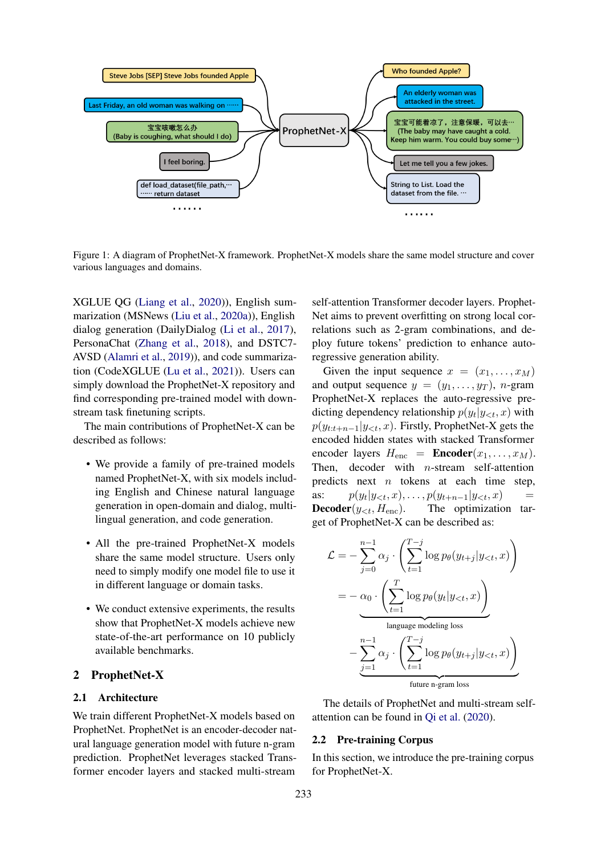

Figure 1: A diagram of ProphetNet-X framework. ProphetNet-X models share the same model structure and cover various languages and domains.

XGLUE QG [\(Liang et al.,](#page-6-5) [2020\)](#page-6-5)), English summarization (MSNews [\(Liu et al.,](#page-6-6) [2020a\)](#page-6-6)), English dialog generation (DailyDialog [\(Li et al.,](#page-6-7) [2017\)](#page-6-7), PersonaChat [\(Zhang et al.,](#page-7-5) [2018\)](#page-7-5), and DSTC7- AVSD [\(Alamri et al.,](#page-6-8) [2019\)](#page-6-8)), and code summarization (CodeXGLUE [\(Lu et al.,](#page-7-6) [2021\)](#page-7-6)). Users can simply download the ProphetNet-X repository and find corresponding pre-trained model with downstream task finetuning scripts.

The main contributions of ProphetNet-X can be described as follows:

- We provide a family of pre-trained models named ProphetNet-X, with six models including English and Chinese natural language generation in open-domain and dialog, multilingual generation, and code generation.
- All the pre-trained ProphetNet-X models share the same model structure. Users only need to simply modify one model file to use it in different language or domain tasks.
- We conduct extensive experiments, the results show that ProphetNet-X models achieve new state-of-the-art performance on 10 publicly available benchmarks.

## 2 ProphetNet-X

## 2.1 Architecture

We train different ProphetNet-X models based on ProphetNet. ProphetNet is an encoder-decoder natural language generation model with future n-gram prediction. ProphetNet leverages stacked Transformer encoder layers and stacked multi-stream

self-attention Transformer decoder layers. Prophet-Net aims to prevent overfitting on strong local correlations such as 2-gram combinations, and deploy future tokens' prediction to enhance autoregressive generation ability.

Given the input sequence  $x = (x_1, \ldots, x_M)$ and output sequence  $y = (y_1, \ldots, y_T)$ , n-gram ProphetNet-X replaces the auto-regressive predicting dependency relationship  $p(y_t|y_{<};, x)$  with  $p(y_{t:t+n-1}|y_{<};,x)$ . Firstly, ProphetNet-X gets the encoded hidden states with stacked Transformer encoder layers  $H_{\text{enc}} = \text{Encoder}(x_1, \dots, x_M)$ . Then, decoder with  $n$ -stream self-attention predicts next  $n$  tokens at each time step, as:  $p(y_t|y_{< t}, x), \ldots, p(y_{t+n-1}|y_{< t}, x)$  = **Decoder**( $y_{\leq t}$ ,  $H_{\text{enc}}$ ). The optimization target of ProphetNet-X can be described as:

$$
\mathcal{L} = -\sum_{j=0}^{n-1} \alpha_j \cdot \left( \sum_{t=1}^{T-j} \log p_{\theta}(y_{t+j}|y_{
$$
= -\alpha_0 \cdot \left( \sum_{t=1}^{T} \log p_{\theta}(y_t|y_{
$$
= \underbrace{\sum_{j=1}^{n-1} \alpha_j \cdot \left( \sum_{t=1}^{T-j} \log p_{\theta}(y_{t+j}|y_{
$$
$$
$$

The details of ProphetNet and multi-stream selfattention can be found in [Qi et al.](#page-7-0) [\(2020\)](#page-7-0).

## 2.2 Pre-training Corpus

In this section, we introduce the pre-training corpus for ProphetNet-X.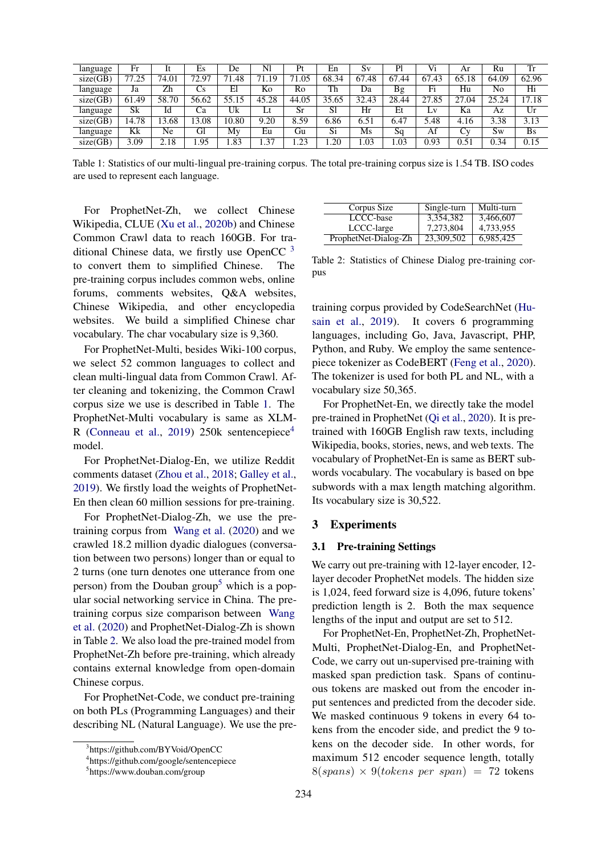<span id="page-2-1"></span>

| language | Fr    | It         | Es         | De    | Nl    | Pt        | En    | Sv        | Pl        | Vi    | Ar    | Ru    | Tr        |
|----------|-------|------------|------------|-------|-------|-----------|-------|-----------|-----------|-------|-------|-------|-----------|
| size(GB) | 77.25 | 74.01      | 2.97<br>70 | .48   | 71.19 | 71.05     | 68.34 | 67<br>.48 | 67<br>.44 | 67.43 | 65.18 | 64.09 | 62.96     |
| language | Ja    | Zh         | Сs         | El    | Kо    | Ro        | Th    | Da        | Bg        | Fi    | Hu    | No    | Hi        |
| size(GB) | 61.49 | 58.<br>.70 | 56.62      | 55.15 | 45.28 | 44.05     | 35.65 | 32.43     | 28.44     | 27.85 | 27.04 | 25.24 | 17.18     |
| language | Sk    | Id         | Ca         | Uk    |       | <b>Sr</b> | S1    | Hr        | Et        | LV    | Ka    | Az    | Ur        |
| size(GB) | 14.78 | 3.68       | 3.08       | 10.80 | 9.20  | 8.59      | 6.86  | 6.51      | 6.47      | 5.48  | 4.16  | 3.38  | 3.13      |
| language | Kk    | Ne         | Gl         | My    | Eu    | Gu        | Si    | Ms        | Sq        | Af    | Cv    | Sw    | <b>Bs</b> |
| size(GB) | 3.09  | 2.18       | .95        | .83   | 1.37  | .23       | .20   | 1.03      | 0.03      | 0.93  | 0.51  | 0.34  | 0.15      |

Table 1: Statistics of our multi-lingual pre-training corpus. The total pre-training corpus size is 1.54 TB. ISO codes are used to represent each language.

For ProphetNet-Zh, we collect Chinese Wikipedia, CLUE [\(Xu et al.,](#page-7-7) [2020b\)](#page-7-7) and Chinese Common Crawl data to reach 160GB. For traditional Chinese data, we firstly use OpenCC  $3$ to convert them to simplified Chinese. The pre-training corpus includes common webs, online forums, comments websites, Q&A websites, Chinese Wikipedia, and other encyclopedia websites. We build a simplified Chinese char vocabulary. The char vocabulary size is 9,360.

For ProphetNet-Multi, besides Wiki-100 corpus, we select 52 common languages to collect and clean multi-lingual data from Common Crawl. After cleaning and tokenizing, the Common Crawl corpus size we use is described in Table [1.](#page-2-1) The ProphetNet-Multi vocabulary is same as XLM-R [\(Conneau et al.,](#page-6-9) [2019\)](#page-6-9) 250k sentencepiece<sup>[4](#page-2-2)</sup> model.

For ProphetNet-Dialog-En, we utilize Reddit comments dataset [\(Zhou et al.,](#page-7-8) [2018;](#page-7-8) [Galley et al.,](#page-6-10) [2019\)](#page-6-10). We firstly load the weights of ProphetNet-En then clean 60 million sessions for pre-training.

For ProphetNet-Dialog-Zh, we use the pretraining corpus from [Wang et al.](#page-7-9) [\(2020\)](#page-7-9) and we crawled 18.2 million dyadic dialogues (conversation between two persons) longer than or equal to 2 turns (one turn denotes one utterance from one person) from the Douban group<sup>[5](#page-2-3)</sup> which is a popular social networking service in China. The pretraining corpus size comparison between [Wang](#page-7-9) [et al.](#page-7-9) [\(2020\)](#page-7-9) and ProphetNet-Dialog-Zh is shown in Table [2.](#page-2-4) We also load the pre-trained model from ProphetNet-Zh before pre-training, which already contains external knowledge from open-domain Chinese corpus.

For ProphetNet-Code, we conduct pre-training on both PLs (Programming Languages) and their describing NL (Natural Language). We use the pre-

<span id="page-2-4"></span>

| Corpus Size          | Single-turn | Multi-turn |
|----------------------|-------------|------------|
| LCCC-base            | 3,354,382   | 3,466,607  |
| LCCC-large           | 7,273,804   | 4,733,955  |
| ProphetNet-Dialog-Zh | 23,309,502  | 6,985,425  |

Table 2: Statistics of Chinese Dialog pre-training corpus

training corpus provided by CodeSearchNet [\(Hu](#page-6-11)[sain et al.,](#page-6-11) [2019\)](#page-6-11). It covers 6 programming languages, including Go, Java, Javascript, PHP, Python, and Ruby. We employ the same sentencepiece tokenizer as CodeBERT [\(Feng et al.,](#page-6-2) [2020\)](#page-6-2). The tokenizer is used for both PL and NL, with a vocabulary size 50,365.

For ProphetNet-En, we directly take the model pre-trained in ProphetNet [\(Qi et al.,](#page-7-0) [2020\)](#page-7-0). It is pretrained with 160GB English raw texts, including Wikipedia, books, stories, news, and web texts. The vocabulary of ProphetNet-En is same as BERT subwords vocabulary. The vocabulary is based on bpe subwords with a max length matching algorithm. Its vocabulary size is 30,522.

## 3 Experiments

#### 3.1 Pre-training Settings

We carry out pre-training with 12-layer encoder, 12 layer decoder ProphetNet models. The hidden size is 1,024, feed forward size is 4,096, future tokens' prediction length is 2. Both the max sequence lengths of the input and output are set to 512.

For ProphetNet-En, ProphetNet-Zh, ProphetNet-Multi, ProphetNet-Dialog-En, and ProphetNet-Code, we carry out un-supervised pre-training with masked span prediction task. Spans of continuous tokens are masked out from the encoder input sentences and predicted from the decoder side. We masked continuous 9 tokens in every 64 tokens from the encoder side, and predict the 9 tokens on the decoder side. In other words, for maximum 512 encoder sequence length, totally  $8(spans) \times 9(tokens per span) = 72 tokens$ 

<span id="page-2-0"></span><sup>3</sup> https://github.com/BYVoid/OpenCC

<span id="page-2-2"></span><sup>4</sup> https://github.com/google/sentencepiece

<span id="page-2-3"></span><sup>5</sup> https://www.douban.com/group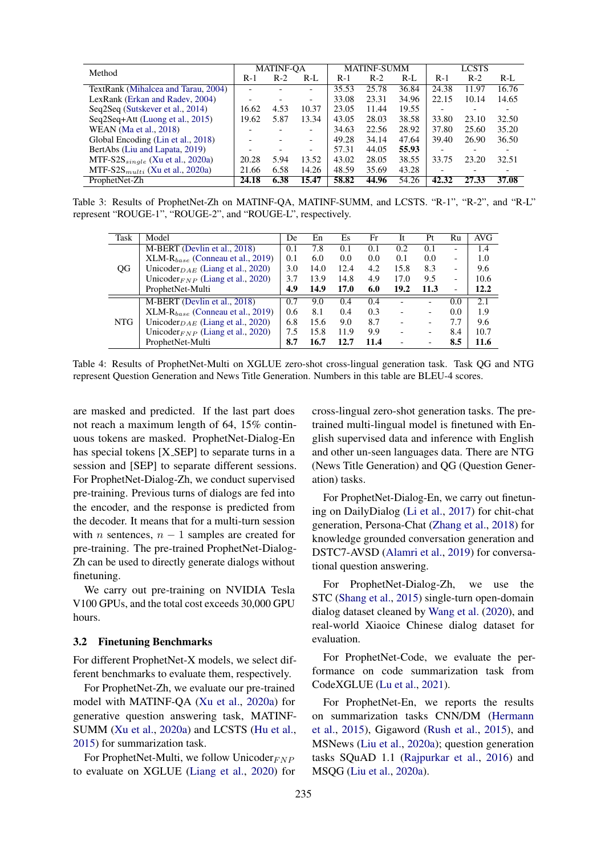<span id="page-3-0"></span>

|                                        |                          | <b>MATINF-OA</b> |                          |       | <b>MATINF-SUMM</b> |       |       | <b>LCSTS</b>             |       |
|----------------------------------------|--------------------------|------------------|--------------------------|-------|--------------------|-------|-------|--------------------------|-------|
| Method                                 | $R-1$                    | $R-2$            | $R-I$                    | $R-1$ | $R-2$              | $R-I$ | $R-1$ | $R-2$                    | $R-L$ |
| TextRank (Mihalcea and Tarau, 2004)    | $\overline{\phantom{a}}$ |                  | $\overline{\phantom{0}}$ | 35.53 | 25.78              | 36.84 | 24.38 | 11.97                    | 16.76 |
| LexRank (Erkan and Radev, 2004)        | ۰                        |                  | $\overline{\phantom{a}}$ | 33.08 | 23.31              | 34.96 | 22.15 | 10.14                    | 14.65 |
| Seq2Seq (Sutskever et al., 2014)       | 16.62                    | 4.53             | 10.37                    | 23.05 | 11.44              | 19.55 |       |                          |       |
| Seq2Seq+Att (Luong et al., 2015)       | 19.62                    | 5.87             | 13.34                    | 43.05 | 28.03              | 38.58 | 33.80 | 23.10                    | 32.50 |
| WEAN (Ma et al., 2018)                 |                          |                  | $\overline{\phantom{0}}$ | 34.63 | 22.56              | 28.92 | 37.80 | 25.60                    | 35.20 |
| Global Encoding (Lin et al., 2018)     | $\overline{\phantom{0}}$ |                  | $\overline{\phantom{0}}$ | 49.28 | 34.14              | 47.64 | 39.40 | 26.90                    | 36.50 |
| BertAbs (Liu and Lapata, 2019)         | $\overline{\phantom{0}}$ |                  | $\overline{\phantom{a}}$ | 57.31 | 44.05              | 55.93 |       | $\overline{\phantom{0}}$ |       |
| MTF-S2S $_{single}$ (Xu et al., 2020a) | 20.28                    | 5.94             | 13.52                    | 43.02 | 28.05              | 38.55 | 33.75 | 23.20                    | 32.51 |
| MTF-S2S $_{multi}$ (Xu et al., 2020a)  | 21.66                    | 6.58             | 14.26                    | 48.59 | 35.69              | 43.28 |       |                          |       |
| ProphetNet-Zh                          | 24.18                    | 6.38             | 15.47                    | 58.82 | 44.96              | 54.26 | 42.32 | 27.33                    | 37.08 |

<span id="page-3-1"></span>Table 3: Results of ProphetNet-Zh on MATINF-QA, MATINF-SUMM, and LCSTS. "R-1", "R-2", and "R-L" represent "ROUGE-1", "ROUGE-2", and "ROUGE-L", respectively.

| Task | Model                                        | De  | En   | Es.  | Fr   | It                       | Pt                       | Ru                       | AVG  |
|------|----------------------------------------------|-----|------|------|------|--------------------------|--------------------------|--------------------------|------|
|      | M-BERT (Devlin et al., 2018)                 | 0.1 | 7.8  | 0.1  | 0.1  | 0.2                      | 0.1                      |                          | 1.4  |
|      | $XLM-R_{base}$ (Conneau et al., 2019)        | 0.1 | 6.0  | 0.0  | 0.0  | 0.1                      | 0.0                      | $\overline{\phantom{0}}$ | 1.0  |
| QG   | Unicoder $_{DAE}$ (Liang et al., 2020)       | 3.0 | 14.0 | 12.4 | 4.2  | 15.8                     | 8.3                      | $\overline{\phantom{0}}$ | 9.6  |
|      | Unicoder <sub>FNP</sub> (Liang et al., 2020) | 3.7 | 13.9 | 14.8 | 4.9  | 17.0                     | 9.5                      | $\qquad \qquad$          | 10.6 |
|      | ProphetNet-Multi                             | 4.9 | 14.9 | 17.0 | 6.0  | 19.2                     | 11.3                     | ۰                        | 12.2 |
|      | M-BERT (Devlin et al., 2018)                 | 0.7 | 9.0  | 0.4  | 0.4  |                          |                          | 0.0                      | 2.1  |
|      | $XLM-R_{base}$ (Conneau et al., 2019)        | 0.6 | 8.1  | 0.4  | 0.3  |                          | $\overline{\phantom{0}}$ | 0.0                      | 1.9  |
| NTG. | Unicoder $_{DAE}$ (Liang et al., 2020)       | 6.8 | 15.6 | 9.0  | 8.7  |                          |                          | 7.7                      | 9.6  |
|      | Unicoder <sub>FNP</sub> (Liang et al., 2020) | 7.5 | 15.8 | 11.9 | 9.9  | $\overline{\phantom{0}}$ |                          | 8.4                      | 10.7 |
|      | ProphetNet-Multi                             | 8.7 | 16.7 | 12.7 | 11.4 |                          |                          | 8.5                      | 11.6 |

Table 4: Results of ProphetNet-Multi on XGLUE zero-shot cross-lingual generation task. Task QG and NTG represent Question Generation and News Title Generation. Numbers in this table are BLEU-4 scores.

are masked and predicted. If the last part does not reach a maximum length of 64, 15% continuous tokens are masked. ProphetNet-Dialog-En has special tokens [X\_SEP] to separate turns in a session and [SEP] to separate different sessions. For ProphetNet-Dialog-Zh, we conduct supervised pre-training. Previous turns of dialogs are fed into the encoder, and the response is predicted from the decoder. It means that for a multi-turn session with *n* sentences,  $n - 1$  samples are created for pre-training. The pre-trained ProphetNet-Dialog-Zh can be used to directly generate dialogs without finetuning.

We carry out pre-training on NVIDIA Tesla V100 GPUs, and the total cost exceeds 30,000 GPU hours.

## 3.2 Finetuning Benchmarks

For different ProphetNet-X models, we select different benchmarks to evaluate them, respectively.

For ProphetNet-Zh, we evaluate our pre-trained model with MATINF-QA [\(Xu et al.,](#page-7-4) [2020a\)](#page-7-4) for generative question answering task, MATINF-SUMM [\(Xu et al.,](#page-7-4) [2020a\)](#page-7-4) and LCSTS [\(Hu et al.,](#page-6-4) [2015\)](#page-6-4) for summarization task.

For ProphetNet-Multi, we follow Unicoder $_{FNP}$ to evaluate on XGLUE [\(Liang et al.,](#page-6-5) [2020\)](#page-6-5) for cross-lingual zero-shot generation tasks. The pretrained multi-lingual model is finetuned with English supervised data and inference with English and other un-seen languages data. There are NTG (News Title Generation) and QG (Question Generation) tasks.

For ProphetNet-Dialog-En, we carry out finetuning on DailyDialog [\(Li et al.,](#page-6-7) [2017\)](#page-6-7) for chit-chat generation, Persona-Chat [\(Zhang et al.,](#page-7-5) [2018\)](#page-7-5) for knowledge grounded conversation generation and DSTC7-AVSD [\(Alamri et al.,](#page-6-8) [2019\)](#page-6-8) for conversational question answering.

For ProphetNet-Dialog-Zh, we use the STC [\(Shang et al.,](#page-7-15) [2015\)](#page-7-15) single-turn open-domain dialog dataset cleaned by [Wang et al.](#page-7-9) [\(2020\)](#page-7-9), and real-world Xiaoice Chinese dialog dataset for evaluation.

For ProphetNet-Code, we evaluate the performance on code summarization task from CodeXGLUE [\(Lu et al.,](#page-7-6) [2021\)](#page-7-6).

For ProphetNet-En, we reports the results on summarization tasks CNN/DM [\(Hermann](#page-6-14) [et al.,](#page-6-14) [2015\)](#page-6-14), Gigaword [\(Rush et al.,](#page-7-16) [2015\)](#page-7-16), and MSNews [\(Liu et al.,](#page-6-6) [2020a\)](#page-6-6); question generation tasks SQuAD 1.1 [\(Rajpurkar et al.,](#page-7-17) [2016\)](#page-7-17) and MSQG [\(Liu et al.,](#page-6-6) [2020a\)](#page-6-6).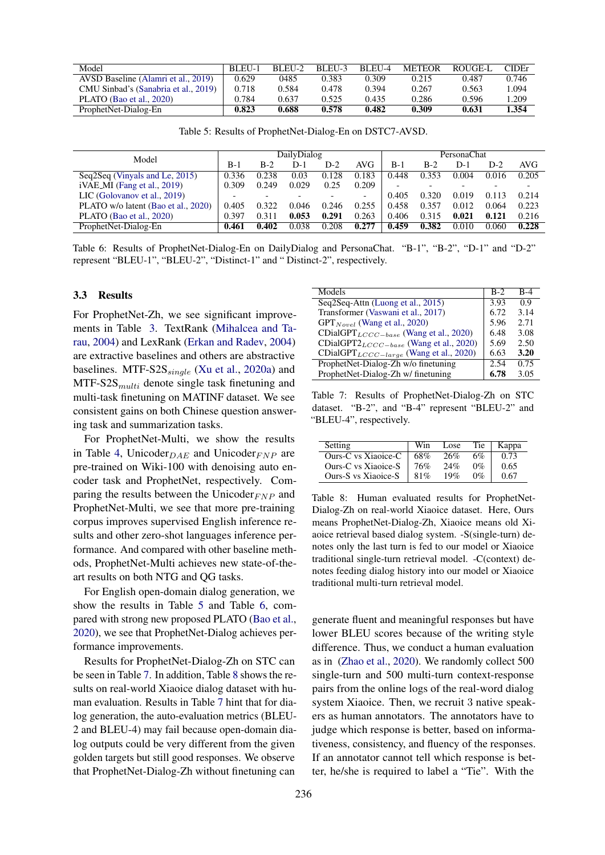<span id="page-4-0"></span>

| Model                                | BLEU-1 | $BLEII-2$ | BLEU-3 | BLEU-4 | <b>METEOR</b> | ROUGE-L | <b>CIDE</b> r |
|--------------------------------------|--------|-----------|--------|--------|---------------|---------|---------------|
| AVSD Baseline (Alamri et al., 2019)  | 0.629  | 0485      | 0.383  | 0.309  | 0.215         | 0.487   | 0.746         |
| CMU Sinbad's (Sanabria et al., 2019) | 0.718  | 0.584     | 0.478  | 0.394  | 0.267         | 0.563   | .094          |
| PLATO (Bao et al., 2020)             | 0.784  | 0.637     | 0.525  | 0.435  | 0.286         | 0.596   | 1.209         |
| ProphetNet-Dialog-En                 | 0.823  | 0.688     | 0.578  | 0.482  | 0.309         | 0.631   | 1.354         |

Table 5: Results of ProphetNet-Dialog-En on DSTC7-AVSD.

<span id="page-4-1"></span>

|                                     |       |       | DailyDialog |       |                          | PersonaChat |       |       |       |            |  |
|-------------------------------------|-------|-------|-------------|-------|--------------------------|-------------|-------|-------|-------|------------|--|
| Model                               | $B-1$ | B-2   | D-1         | $D-2$ | <b>AVG</b>               | B-1         | $B-2$ | $D-1$ | D-2   | <b>AVG</b> |  |
| Seq2Seq (Vinyals and Le, 2015)      | 0.336 | 0.238 | 0.03        | 0.128 | 0.183                    | 0.448       | 0.353 | 0.004 | 0.016 | 0.205      |  |
| $iVAE_MI$ (Fang et al., 2019)       | 0.309 | 0.249 | 0.029       | 0.25  | 0.209                    |             |       |       |       |            |  |
| LIC (Golovanov et al., 2019)        |       |       |             |       | $\overline{\phantom{0}}$ | 0.405       | 0.320 | 0.019 | 0.113 | 0.214      |  |
| PLATO w/o latent (Bao et al., 2020) | 0.405 | 0.322 | 0.046       | 0.246 | 0.255                    | 0.458       | 0.357 | 0.012 | 0.064 | 0.223      |  |
| PLATO (Bao et al., 2020)            | 0.397 | 0.311 | 0.053       | 0.291 | 0.263                    | 0.406       | 0.315 | 0.021 | 0.121 | 0.216      |  |
| ProphetNet-Dialog-En                | 0.461 | 0.402 | 0.038       | 0.208 | 0.277                    | 0.459       | 0.382 | 0.010 | 0.060 | 0.228      |  |

Table 6: Results of ProphetNet-Dialog-En on DailyDialog and PersonaChat. "B-1", "B-2", "D-1" and "D-2" represent "BLEU-1", "BLEU-2", "Distinct-1" and " Distinct-2", respectively.

## 3.3 Results

For ProphetNet-Zh, we see significant improvements in Table [3.](#page-3-0) TextRank [\(Mihalcea and Ta](#page-7-10)[rau,](#page-7-10) [2004\)](#page-7-10) and LexRank [\(Erkan and Radev,](#page-6-12) [2004\)](#page-6-12) are extractive baselines and others are abstractive baselines. MTF-S2S $_{single}$  [\(Xu et al.,](#page-7-4) [2020a\)](#page-7-4) and  $MTF-S2S<sub>multi</sub>$  denote single task finetuning and multi-task finetuning on MATINF dataset. We see consistent gains on both Chinese question answering task and summarization tasks.

For ProphetNet-Multi, we show the results in Table [4,](#page-3-1) Unicoder $_{DAE}$  and Unicoder<sub>FNP</sub> are pre-trained on Wiki-100 with denoising auto encoder task and ProphetNet, respectively. Comparing the results between the Unicoder $_{FNP}$  and ProphetNet-Multi, we see that more pre-training corpus improves supervised English inference results and other zero-shot languages inference performance. And compared with other baseline methods, ProphetNet-Multi achieves new state-of-theart results on both NTG and QG tasks.

For English open-domain dialog generation, we show the results in Table [5](#page-4-0) and Table [6,](#page-4-1) compared with strong new proposed PLATO [\(Bao et al.,](#page-6-15) [2020\)](#page-6-15), we see that ProphetNet-Dialog achieves performance improvements.

Results for ProphetNet-Dialog-Zh on STC can be seen in Table [7.](#page-4-2) In addition, Table [8](#page-4-3) shows the results on real-world Xiaoice dialog dataset with human evaluation. Results in Table [7](#page-4-2) hint that for dialog generation, the auto-evaluation metrics (BLEU-2 and BLEU-4) may fail because open-domain dialog outputs could be very different from the given golden targets but still good responses. We observe that ProphetNet-Dialog-Zh without finetuning can

<span id="page-4-2"></span>

| Models                                              | $B-2$ | $R-4$ |
|-----------------------------------------------------|-------|-------|
| Seq2Seq-Attn (Luong et al., 2015)                   | 3.93  | 0.9   |
| Transformer (Vaswani et al., 2017)                  | 6.72  | 3.14  |
| $GPT_{Novel}$ (Wang et al., 2020)                   | 5.96  | 2.71  |
| $CDialGPT_{LCCC-base}$ (Wang et al., 2020)          | 6.48  | 3.08  |
| CDialGPT2 <sub>LCCC</sub> -base (Wang et al., 2020) | 5.69  | 2.50  |
| $\text{CDialGPT}_{LCCC-layer}$ (Wang et al., 2020)  | 6.63  | 3.20  |
| ProphetNet-Dialog-Zh w/o finetuning                 | 2.54  | 0.75  |
| ProphetNet-Dialog-Zh w/ finetuning                  | 6.78  | 3.05  |

Table 7: Results of ProphetNet-Dialog-Zh on STC dataset. "B-2", and "B-4" represent "BLEU-2" and "BLEU-4", respectively.

<span id="page-4-3"></span>

| Setting             | Win | Lose | Tie   | Kappa |
|---------------------|-----|------|-------|-------|
| Ours-C vs Xiaoice-C | 68% | 26%  | 6%    | 0.73  |
| Ours-C vs Xiaoice-S | 76% | 24%  | $0\%$ | 0.65  |
| Ours-S vs Xiaoice-S | 81% | 19%  | $0\%$ | 0.67  |

Table 8: Human evaluated results for ProphetNet-Dialog-Zh on real-world Xiaoice dataset. Here, Ours means ProphetNet-Dialog-Zh, Xiaoice means old Xiaoice retrieval based dialog system. -S(single-turn) denotes only the last turn is fed to our model or Xiaoice traditional single-turn retrieval model. -C(context) denotes feeding dialog history into our model or Xiaoice traditional multi-turn retrieval model.

generate fluent and meaningful responses but have lower BLEU scores because of the writing style difference. Thus, we conduct a human evaluation as in [\(Zhao et al.,](#page-7-21) [2020\)](#page-7-21). We randomly collect 500 single-turn and 500 multi-turn context-response pairs from the online logs of the real-word dialog system Xiaoice. Then, we recruit 3 native speakers as human annotators. The annotators have to judge which response is better, based on informativeness, consistency, and fluency of the responses. If an annotator cannot tell which response is better, he/she is required to label a "Tie". With the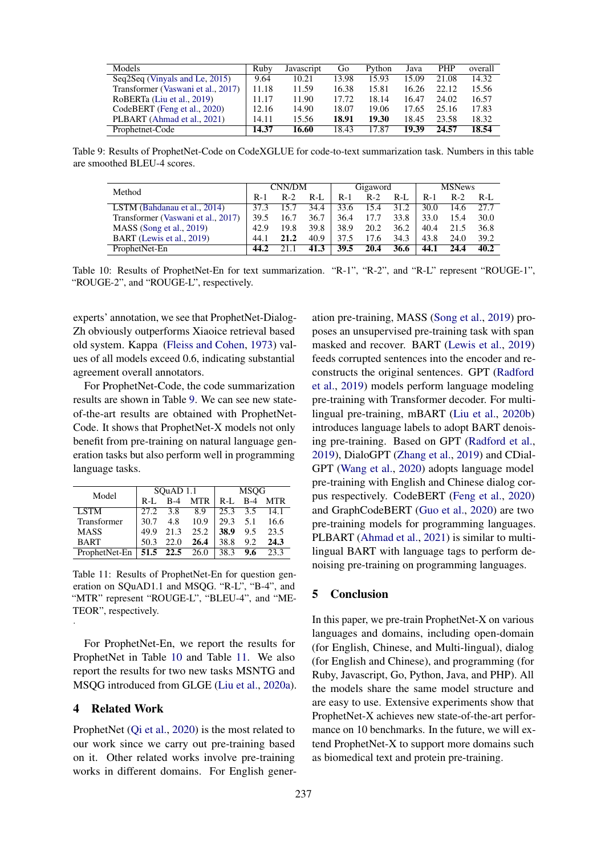<span id="page-5-0"></span>

| Models                             | Ruby  | Javascript | Go    | Python | Java  | <b>PHP</b> | overall |
|------------------------------------|-------|------------|-------|--------|-------|------------|---------|
| Seq2Seq (Vinyals and Le, 2015)     | 9.64  | 10.21      | 13.98 | 15.93  | 15.09 | 21.08      | 14.32   |
| Transformer (Vaswani et al., 2017) | 11.18 | 11.59      | 16.38 | 15.81  | 16.26 | 22.12      | 15.56   |
| RoBERTa (Liu et al., 2019)         | 11.17 | 11.90      | 17.72 | 18.14  | 16.47 | 24.02      | 16.57   |
| CodeBERT (Feng et al., 2020)       | 12.16 | 14.90      | 18.07 | 19.06  | 17.65 | 25.16      | 17.83   |
| PLBART (Ahmad et al., 2021)        | 14.11 | 15.56      | 18.91 | 19.30  | 18.45 | 23.58      | 18.32   |
| Prophetnet-Code                    | 14.37 | 16.60      | 18.43 | 17.87  | 19.39 | 24.57      | 18.54   |

<span id="page-5-1"></span>Table 9: Results of ProphetNet-Code on CodeXGLUE for code-to-text summarization task. Numbers in this table are smoothed BLEU-4 scores.

| Method                             | CNN/DM |       |       | Gigaword |       |         | <b>MSNews</b> |       |       |
|------------------------------------|--------|-------|-------|----------|-------|---------|---------------|-------|-------|
|                                    | $R-1$  | $R-2$ | $R-I$ | $R-1$    | $R-2$ | $R-I$ . | $R-1$         | $R-2$ | $R-I$ |
| LSTM (Bahdanau et al., 2014)       | 373    | 15.7  | 34.4  | 33.6     | 15.4  | 31.2    | 30.0          | 14.6  | 27.7  |
| Transformer (Vaswani et al., 2017) | 39.5   | 16.7  | 36.7  | 36.4     | 17.7  | 33.8    | 33.0          | 15.4  | 30.0  |
| $MASS$ (Song et al., 2019)         | 42.9   | 19.8  | 39.8  | 38.9     | 20.2  | 36.2    | 40.4          | 21.5  | 36.8  |
| BART (Lewis et al., 2019)          | 44.1   | 21.2  | 40.9  | 37.5     | 17.6  | 34.3    | 43.8          | 24.0  | 39.2  |
| ProphetNet-En                      | 44.2   | 21.1  | 41.3  | 39.5     | 20.4  | 36.6    | 44.1          | 24.4  | 40.2  |

Table 10: Results of ProphetNet-En for text summarization. "R-1", "R-2", and "R-L" represent "ROUGE-1", "ROUGE-2", and "ROUGE-L", respectively.

experts' annotation, we see that ProphetNet-Dialog-Zh obviously outperforms Xiaoice retrieval based old system. Kappa [\(Fleiss and Cohen,](#page-6-20) [1973\)](#page-6-20) values of all models exceed 0.6, indicating substantial agreement overall annotators.

For ProphetNet-Code, the code summarization results are shown in Table [9.](#page-5-0) We can see new stateof-the-art results are obtained with ProphetNet-Code. It shows that ProphetNet-X models not only benefit from pre-training on natural language generation tasks but also perform well in programming language tasks.

<span id="page-5-2"></span>

| Model         |         | SQuAD 1.1      |            | <b>MSOG</b>     |            |            |  |  |
|---------------|---------|----------------|------------|-----------------|------------|------------|--|--|
|               | $R-I$ . | $B-4$          | <b>MTR</b> | $R-I$ .         | <b>B-4</b> | <b>MTR</b> |  |  |
| <b>LSTM</b>   | 27.2    | 3.8            | 8.9        | $25.3\quad 3.5$ |            | 14.1       |  |  |
| Transformer   | 30.7    | 4.8            | 10.9       | 29.3            | 5.1        | 16.6       |  |  |
| <b>MASS</b>   | 49.9    | 21.3           | 25.2       | 38.9            | 9.5        | 23.5       |  |  |
| <b>BART</b>   | 50.3    | 22.0           | 26.4       | 38.8            | 9.2        | 24.3       |  |  |
| ProphetNet-En |         | 51.5 22.5 26.0 |            | 38.3            | 9.6        | 23.3       |  |  |

Table 11: Results of ProphetNet-En for question generation on SQuAD1.1 and MSQG. "R-L", "B-4", and "MTR" represent "ROUGE-L", "BLEU-4", and "ME-TEOR", respectively.

For ProphetNet-En, we report the results for ProphetNet in Table [10](#page-5-1) and Table [11.](#page-5-2) We also report the results for two new tasks MSNTG and MSQG introduced from GLGE [\(Liu et al.,](#page-6-6) [2020a\)](#page-6-6).

## 4 Related Work

.

ProphetNet [\(Qi et al.,](#page-7-0) [2020\)](#page-7-0) is the most related to our work since we carry out pre-training based on it. Other related works involve pre-training works in different domains. For English generation pre-training, MASS [\(Song et al.,](#page-7-1) [2019\)](#page-7-1) proposes an unsupervised pre-training task with span masked and recover. BART [\(Lewis et al.,](#page-6-0) [2019\)](#page-6-0) feeds corrupted sentences into the encoder and reconstructs the original sentences. GPT [\(Radford](#page-7-23) [et al.,](#page-7-23) [2019\)](#page-7-23) models perform language modeling pre-training with Transformer decoder. For multilingual pre-training, mBART [\(Liu et al.,](#page-7-3) [2020b\)](#page-7-3) introduces language labels to adopt BART denoising pre-training. Based on GPT [\(Radford et al.,](#page-7-23) [2019\)](#page-7-23), DialoGPT [\(Zhang et al.,](#page-7-2) [2019\)](#page-7-2) and CDial-GPT [\(Wang et al.,](#page-7-9) [2020\)](#page-7-9) adopts language model pre-training with English and Chinese dialog corpus respectively. CodeBERT [\(Feng et al.,](#page-6-2) [2020\)](#page-6-2) and GraphCodeBERT [\(Guo et al.,](#page-6-21) [2020\)](#page-6-21) are two pre-training models for programming languages. PLBART [\(Ahmad et al.,](#page-6-18) [2021\)](#page-6-18) is similar to multilingual BART with language tags to perform denoising pre-training on programming languages.

## 5 Conclusion

In this paper, we pre-train ProphetNet-X on various languages and domains, including open-domain (for English, Chinese, and Multi-lingual), dialog (for English and Chinese), and programming (for Ruby, Javascript, Go, Python, Java, and PHP). All the models share the same model structure and are easy to use. Extensive experiments show that ProphetNet-X achieves new state-of-the-art performance on 10 benchmarks. In the future, we will extend ProphetNet-X to support more domains such as biomedical text and protein pre-training.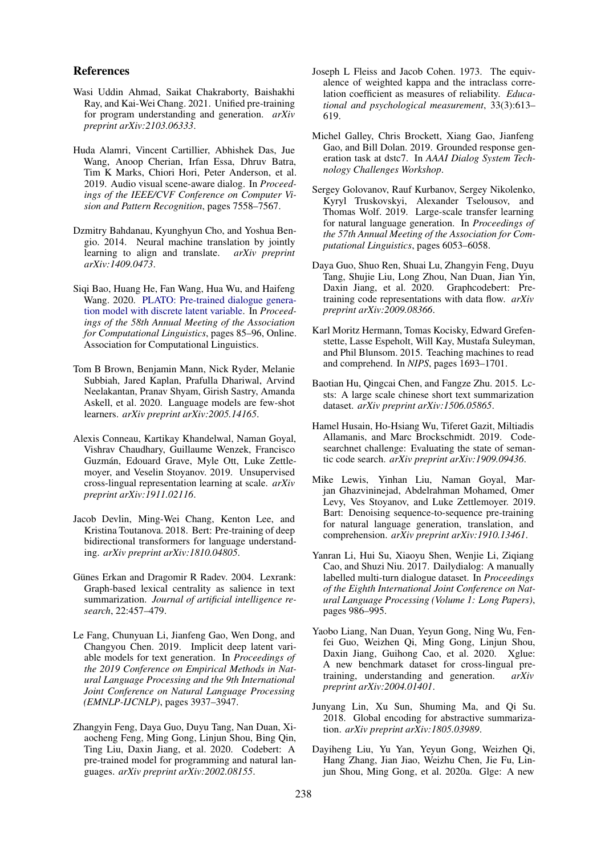### References

- <span id="page-6-18"></span>Wasi Uddin Ahmad, Saikat Chakraborty, Baishakhi Ray, and Kai-Wei Chang. 2021. Unified pre-training for program understanding and generation. *arXiv preprint arXiv:2103.06333*.
- <span id="page-6-8"></span>Huda Alamri, Vincent Cartillier, Abhishek Das, Jue Wang, Anoop Cherian, Irfan Essa, Dhruv Batra, Tim K Marks, Chiori Hori, Peter Anderson, et al. 2019. Audio visual scene-aware dialog. In *Proceedings of the IEEE/CVF Conference on Computer Vision and Pattern Recognition*, pages 7558–7567.
- <span id="page-6-19"></span>Dzmitry Bahdanau, Kyunghyun Cho, and Yoshua Bengio. 2014. Neural machine translation by jointly learning to align and translate. *arXiv preprint arXiv:1409.0473*.
- <span id="page-6-15"></span>Siqi Bao, Huang He, Fan Wang, Hua Wu, and Haifeng Wang. 2020. [PLATO: Pre-trained dialogue genera](https://doi.org/10.18653/v1/2020.acl-main.9)[tion model with discrete latent variable.](https://doi.org/10.18653/v1/2020.acl-main.9) In *Proceedings of the 58th Annual Meeting of the Association for Computational Linguistics*, pages 85–96, Online. Association for Computational Linguistics.
- <span id="page-6-1"></span>Tom B Brown, Benjamin Mann, Nick Ryder, Melanie Subbiah, Jared Kaplan, Prafulla Dhariwal, Arvind Neelakantan, Pranav Shyam, Girish Sastry, Amanda Askell, et al. 2020. Language models are few-shot learners. *arXiv preprint arXiv:2005.14165*.
- <span id="page-6-9"></span>Alexis Conneau, Kartikay Khandelwal, Naman Goyal, Vishrav Chaudhary, Guillaume Wenzek, Francisco Guzmán, Edouard Grave, Myle Ott, Luke Zettlemoyer, and Veselin Stoyanov. 2019. Unsupervised cross-lingual representation learning at scale. *arXiv preprint arXiv:1911.02116*.
- <span id="page-6-3"></span>Jacob Devlin, Ming-Wei Chang, Kenton Lee, and Kristina Toutanova. 2018. Bert: Pre-training of deep bidirectional transformers for language understanding. *arXiv preprint arXiv:1810.04805*.
- <span id="page-6-12"></span>Günes Erkan and Dragomir R Radev. 2004. Lexrank: Graph-based lexical centrality as salience in text summarization. *Journal of artificial intelligence research*, 22:457–479.
- <span id="page-6-16"></span>Le Fang, Chunyuan Li, Jianfeng Gao, Wen Dong, and Changyou Chen. 2019. Implicit deep latent variable models for text generation. In *Proceedings of the 2019 Conference on Empirical Methods in Natural Language Processing and the 9th International Joint Conference on Natural Language Processing (EMNLP-IJCNLP)*, pages 3937–3947.
- <span id="page-6-2"></span>Zhangyin Feng, Daya Guo, Duyu Tang, Nan Duan, Xiaocheng Feng, Ming Gong, Linjun Shou, Bing Qin, Ting Liu, Daxin Jiang, et al. 2020. Codebert: A pre-trained model for programming and natural languages. *arXiv preprint arXiv:2002.08155*.
- <span id="page-6-20"></span>Joseph L Fleiss and Jacob Cohen. 1973. The equivalence of weighted kappa and the intraclass correlation coefficient as measures of reliability. *Educational and psychological measurement*, 33(3):613– 619.
- <span id="page-6-10"></span>Michel Galley, Chris Brockett, Xiang Gao, Jianfeng Gao, and Bill Dolan. 2019. Grounded response generation task at dstc7. In *AAAI Dialog System Technology Challenges Workshop*.
- <span id="page-6-17"></span>Sergey Golovanov, Rauf Kurbanov, Sergey Nikolenko, Kyryl Truskovskyi, Alexander Tselousov, and Thomas Wolf. 2019. Large-scale transfer learning for natural language generation. In *Proceedings of the 57th Annual Meeting of the Association for Computational Linguistics*, pages 6053–6058.
- <span id="page-6-21"></span>Daya Guo, Shuo Ren, Shuai Lu, Zhangyin Feng, Duyu Tang, Shujie Liu, Long Zhou, Nan Duan, Jian Yin, Daxin Jiang, et al. 2020. Graphcodebert: Pretraining code representations with data flow. *arXiv preprint arXiv:2009.08366*.
- <span id="page-6-14"></span>Karl Moritz Hermann, Tomas Kocisky, Edward Grefenstette, Lasse Espeholt, Will Kay, Mustafa Suleyman, and Phil Blunsom. 2015. Teaching machines to read and comprehend. In *NIPS*, pages 1693–1701.
- <span id="page-6-4"></span>Baotian Hu, Qingcai Chen, and Fangze Zhu. 2015. Lcsts: A large scale chinese short text summarization dataset. *arXiv preprint arXiv:1506.05865*.
- <span id="page-6-11"></span>Hamel Husain, Ho-Hsiang Wu, Tiferet Gazit, Miltiadis Allamanis, and Marc Brockschmidt. 2019. Codesearchnet challenge: Evaluating the state of semantic code search. *arXiv preprint arXiv:1909.09436*.
- <span id="page-6-0"></span>Mike Lewis, Yinhan Liu, Naman Goyal, Marjan Ghazvininejad, Abdelrahman Mohamed, Omer Levy, Ves Stoyanov, and Luke Zettlemoyer. 2019. Bart: Denoising sequence-to-sequence pre-training for natural language generation, translation, and comprehension. *arXiv preprint arXiv:1910.13461*.
- <span id="page-6-7"></span>Yanran Li, Hui Su, Xiaoyu Shen, Wenjie Li, Ziqiang Cao, and Shuzi Niu. 2017. Dailydialog: A manually labelled multi-turn dialogue dataset. In *Proceedings of the Eighth International Joint Conference on Natural Language Processing (Volume 1: Long Papers)*, pages 986–995.
- <span id="page-6-5"></span>Yaobo Liang, Nan Duan, Yeyun Gong, Ning Wu, Fenfei Guo, Weizhen Qi, Ming Gong, Linjun Shou, Daxin Jiang, Guihong Cao, et al. 2020. Xglue: A new benchmark dataset for cross-lingual pretraining, understanding and generation. *arXiv preprint arXiv:2004.01401*.
- <span id="page-6-13"></span>Junyang Lin, Xu Sun, Shuming Ma, and Qi Su. 2018. Global encoding for abstractive summarization. *arXiv preprint arXiv:1805.03989*.
- <span id="page-6-6"></span>Dayiheng Liu, Yu Yan, Yeyun Gong, Weizhen Qi, Hang Zhang, Jian Jiao, Weizhu Chen, Jie Fu, Linjun Shou, Ming Gong, et al. 2020a. Glge: A new